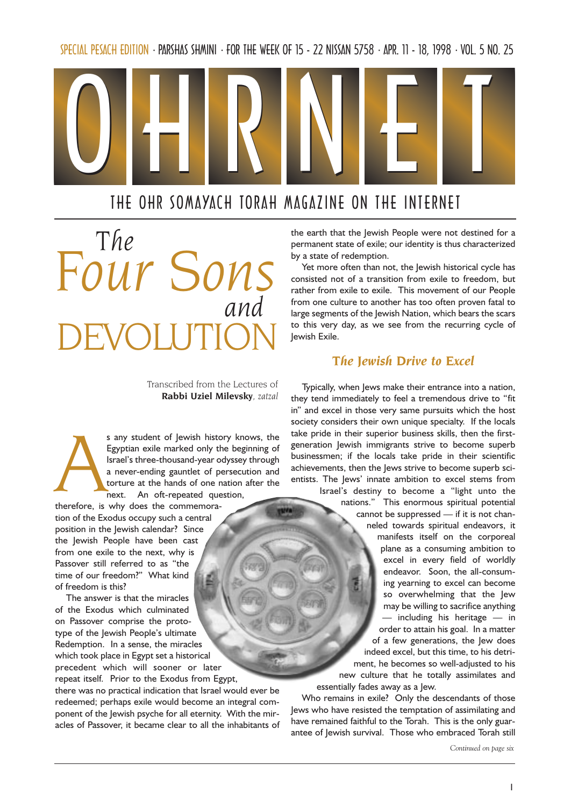SPECIAL PESACH EDITION · PARSHAS SHMINI · FOR THE WEEK OF 15 - 22 NISSAN 5758 · APR. 11 - 18, 1998 · VOL. 5 NO. 25



# THE OHR SOMAYACH TORAH MAGAZINE ON THE INTERNET

and DEVOLUTION The Four Son.

> Transcribed from the Lectures of Rabbi Uziel Milevsky, zatzal

s any student of Jewish history knows, the<br>Egyptian exile marked only the beginning of<br>Israel's three-thousand-year odyssey through<br>a never-ending gauntlet of persecution and<br>torture at the hands of one nation after the<br>ne Egyptian exile marked only the beginning of Israel's three-thousand-year odyssey through a never-ending gauntlet of persecution and torture at the hands of one nation after the next. An oft-repeated question,

therefore, is why does the commemoration of the Exodus occupy such a central position in the Jewish calendar? Since the Jewish People have been cast from one exile to the next, why is Passover still referred to as "the time of our freedom?" What kind of freedom is this?

The answer is that the miracles of the Exodus which culminated on Passover comprise the prototype of the Jewish People's ultimate Redemption. In a sense, the miracles which took place in Egypt set a historical precedent which will sooner or later repeat itself. Prior to the Exodus from Egypt,

there was no practical indication that Israel would ever be redeemed; perhaps exile would become an integral component of the Jewish psyche for all eternity. With the miracles of Passover, it became clear to all the inhabitants of the earth that the Jewish People were not destined for a permanent state of exile; our identity is thus characterized by a state of redemption.

Yet more often than not, the Jewish historical cycle has consisted not of a transition from exile to freedom, but rather from exile to exile. This movement of our People from one culture to another has too often proven fatal to large segments of the Jewish Nation, which bears the scars to this very day, as we see from the recurring cycle of Jewish Exile.

## The Jewish Drive to Excel

Typically, when Jews make their entrance into a nation, they tend immediately to feel a tremendous drive to "fit in" and excel in those very same pursuits which the host society considers their own unique specialty. If the locals take pride in their superior business skills, then the firstgeneration Jewish immigrants strive to become superb businessmen; if the locals take pride in their scientific achievements, then the Jews strive to become superb scientists. The Jews' innate ambition to excel stems from

Israel's destiny to become a "light unto the nations." This enormous spiritual potential cannot be suppressed  $-$  if it is not channeled towards spiritual endeavors, it manifests itself on the corporeal plane as a consuming ambition to excel in every field of worldly endeavor. Soon, the all-consuming yearning to excel can become so overwhelming that the Jew may be willing to sacrifice anything  $-$  including his heritage  $-$  in order to attain his goal. In a matter of a few generations, the Jew does indeed excel, but this time, to his detriment, he becomes so well-adjusted to his new culture that he totally assimilates and essentially fades away as a Jew.

Who remains in exile? Only the descendants of those Jews who have resisted the temptation of assimilating and have remained faithful to the Torah. This is the only guarantee of Jewish survival. Those who embraced Torah still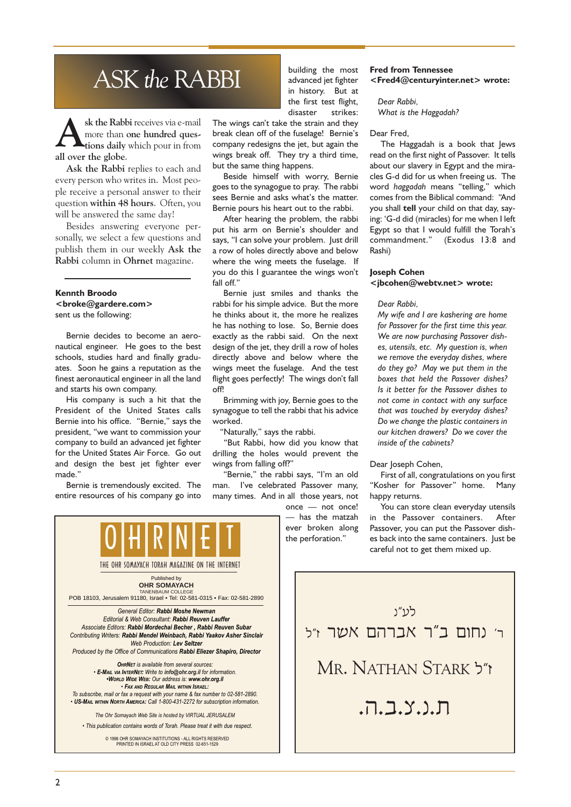# ASK the RABBI

sk the Rabbi receives via e-mail<br>more than one hundred ques-<br>tions daily which pour in from more than one hundred questions daily which pour in from all over the globe.

Ask the Rabbi replies to each and every person who writes in. Most people receive a personal answer to their question within 48 hours. Often, you will be answered the same day!

Besides answering everyone personally, we select a few questions and publish them in our weekly Ask the Rabbi column in Ohrnet magazine.

### Kennth Broodo <broke@gardere.com> sent us the following:

Bernie decides to become an aeronautical engineer. He goes to the best schools, studies hard and finally graduates. Soon he gains a reputation as the finest aeronautical engineer in all the land and starts his own company.

His company is such a hit that the President of the United States calls Bernie into his office. "Bernie," says the president, "we want to commission your company to build an advanced jet fighter for the United States Air Force. Go out and design the best jet fighter ever made.

Bernie is tremendously excited. The entire resources of his company go into



Associate Editors: Rabbi Mordechai Becher , Rabbi Reuven Subar Contributing Writers: Rabbi Mendel Weinbach, Rabbi Yaakov Asher Sinclair Web Production: Lev Seltzer Produced by the Office of Communications Rabbi Eliezer Shapiro, Director

**OHRNET** is available from several sources: E-MAIL VIA INTERNET: Write to info@ohr.org.il for information. WORLD WIDE WEB: Our address is: www.ohr.org.il FAX AND REGULAR MAIL WITHIN ISRAEL: To subscribe, mail or fax a request with your name & fax number to 02-581-2890.

• US-MAIL WITHIN NORTH AMERICA: Call 1-800-431-2272 for subscription information

The Ohr Somayach Web Site is hosted by VIRTUAL JERUSALEM This publication contains words of Torah. Please treat it with due respect.

© 1998 OHR SOMAYACH INSTITUTIONS - ALL RIGHTS RESERVED PRINTED IN ISRAEL AT OLD CITY PRESS 02-651-1529

building the most advanced jet fighter in history. But at the first test flight, disaster strikes:

The wings can't take the strain and they break clean off of the fuselage! Bernie's company redesigns the jet, but again the wings break off. They try a third time, but the same thing happens.

Beside himself with worry, Bernie goes to the synagogue to pray. The rabbi sees Bernie and asks what's the matter. Bernie pours his heart out to the rabbi.

After hearing the problem, the rabbi put his arm on Bernie's shoulder and says, "I can solve your problem. Just drill a row of holes directly above and below where the wing meets the fuselage. If you do this I guarantee the wings won't fall off."

Bernie just smiles and thanks the rabbi for his simple advice. But the more he thinks about it, the more he realizes he has nothing to lose. So, Bernie does exactly as the rabbi said. On the next design of the jet, they drill a row of holes directly above and below where the wings meet the fuselage. And the test flight goes perfectly! The wings don't fall off!

Brimming with joy, Bernie goes to the synagogue to tell the rabbi that his advice worked.

"Naturally," says the rabbi.

But Rabbi, how did you know that drilling the holes would prevent the wings from falling off?"

"Bernie," the rabbi says, "I'm an old man. I've celebrated Passover many, many times. And in all those years, not

 $once - not once!$  has the matzah ever broken along the perforation.

## Fred from Tennessee <Fred4@centuryinter.net> wrote:

Dear Rabbi, What is the Haggadah?

#### Dear Fred,

The Haggadah is a book that Jews read on the first night of Passover. It tells about our slavery in Egypt and the miracles G-d did for us when freeing us. The word haggadah means "telling," which comes from the Biblical command: "And you shall tell your child on that day, saying: G-d did (miracles) for me when I left Egypt so that I would fulfill the Torah's commandment." (Exodus 13:8 and Rashi)

## Joseph Cohen <jbcohen@webtv.net> wrote:

#### Dear Rabbi,

My wife and I are kashering are home for Passover for the first time this year. We are now purchasing Passover dishes, utensils, etc. My question is, when we remove the everyday dishes, where do they go? May we put them in the boxes that held the Passover dishes? Is it better for the Passover dishes to not come in contact with any surface that was touched by everyday dishes? Do we change the plastic containers in our kitchen drawers? Do we cover the inside of the cabinets?

#### Dear Joseph Cohen,

First of all, congratulations on you first "Kosher for Passover" home. Many happy returns.

You can store clean everyday utensils in the Passover containers. After Passover, you can put the Passover dishes back into the same containers. Just be careful not to get them mixed up.

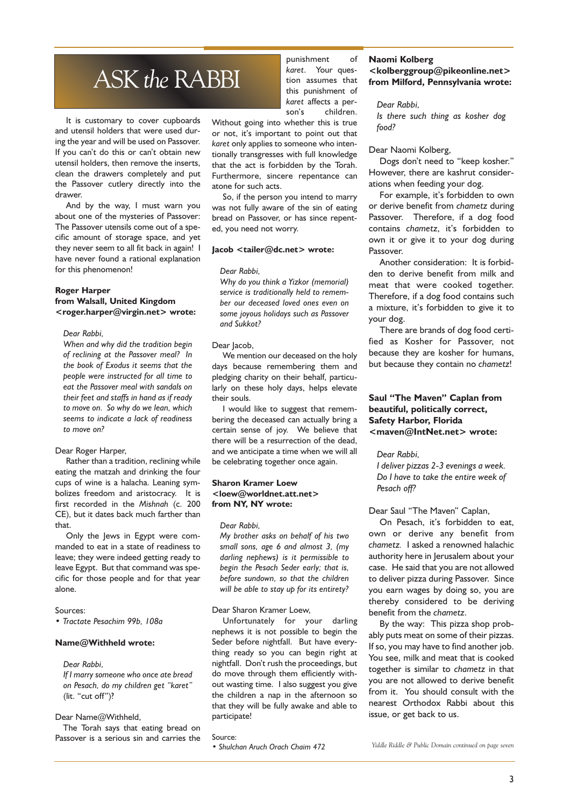# ASK the RABBI

It is customary to cover cupboards and utensil holders that were used during the year and will be used on Passover. If you can't do this or can't obtain new utensil holders, then remove the inserts, clean the drawers completely and put the Passover cutlery directly into the drawer.

And by the way, I must warn you about one of the mysteries of Passover: The Passover utensils come out of a specific amount of storage space, and yet they never seem to all fit back in again! I have never found a rational explanation for this phenomenon!

## Roger Harper from Walsall, United Kingdom <roger.harper@virgin.net> wrote:

Dear Rabbi,

When and why did the tradition begin of reclining at the Passover meal? In the book of Exodus it seems that the people were instructed for all time to eat the Passover meal with sandals on their feet and staffs in hand as if ready to move on. So why do we lean, which seems to indicate a lack of readiness to move on?

## Dear Roger Harper,

Rather than a tradition, reclining while eating the matzah and drinking the four cups of wine is a halacha. Leaning symbolizes freedom and aristocracy. It is first recorded in the Mishnah (c. 200 CE), but it dates back much farther than that.

Only the Jews in Egypt were commanded to eat in a state of readiness to leave; they were indeed getting ready to leave Egypt. But that command was specific for those people and for that year alone.

#### Sources:

Tractate Pesachim 99b, 108a

### Name@Withheld wrote:

Dear Rabbi,

If I marry someone who once ate bread on Pesach, do my children get "karet" (lit. "cut off")?

#### Dear Name@Withheld,

The Torah says that eating bread on Passover is a serious sin and carries the punishment of karet. Your question assumes that this punishment of karet affects a person's children.

Without going into whether this is true or not, it's important to point out that karet only applies to someone who intentionally transgresses with full knowledge that the act is forbidden by the Torah. Furthermore, sincere repentance can atone for such acts.

So, if the person you intend to marry was not fully aware of the sin of eating bread on Passover, or has since repented, you need not worry.

#### Jacob <tailer@dc.net> wrote:

#### Dear Rabbi,

Why do you think a Yizkor (memorial) service is traditionally held to remember our deceased loved ones even on some joyous holidays such as Passover and Sukkot?

#### Dear lacob.

We mention our deceased on the holy days because remembering them and pledging charity on their behalf, particularly on these holy days, helps elevate their souls.

I would like to suggest that remembering the deceased can actually bring a certain sense of joy. We believe that there will be a resurrection of the dead, and we anticipate a time when we will all be celebrating together once again.

## Sharon Kramer Loew <loew@worldnet.att.net> from NY, NY wrote:

## Dear Rabbi,

My brother asks on behalf of his two small sons, age 6 and almost 3, (my darling nephews) is it permissible to begin the Pesach Seder early; that is, before sundown, so that the children will be able to stay up for its entirety?

### Dear Sharon Kramer Loew,

Unfortunately for your darling nephews it is not possible to begin the Seder before nightfall. But have everything ready so you can begin right at nightfall. Don't rush the proceedings, but do move through them efficiently without wasting time. I also suggest you give the children a nap in the afternoon so that they will be fully awake and able to participate!

Source:

Shulchan Aruch Orach Chaim 472

### Naomi Kolberg

## <kolberggroup@pikeonline.net> from Milford, Pennsylvania wrote:

## Dear Rabbi,

Is there such thing as kosher dog food?

### Dear Naomi Kolberg,

Dogs don't need to "keep kosher." However, there are kashrut considerations when feeding your dog.

For example, it's forbidden to own or derive benefit from chametz during Passover. Therefore, if a dog food contains chametz, it's forbidden to own it or give it to your dog during Passover.

Another consideration: It is forbidden to derive benefit from milk and meat that were cooked together. Therefore, if a dog food contains such a mixture, it's forbidden to give it to your dog.

There are brands of dog food certified as Kosher for Passover, not because they are kosher for humans, but because they contain no chametz!

## Saul "The Maven" Caplan from beautiful, politically correct, Safety Harbor, Florida <maven@IntNet.net> wrote:

### Dear Rabbi,

I deliver pizzas 2-3 evenings a week. Do I have to take the entire week of Pesach off?

## Dear Saul "The Maven" Caplan,

On Pesach, it's forbidden to eat, own or derive any benefit from chametz. I asked a renowned halachic authority here in Jerusalem about your case. He said that you are not allowed to deliver pizza during Passover. Since you earn wages by doing so, you are thereby considered to be deriving benefit from the chametz.

By the way: This pizza shop probably puts meat on some of their pizzas. If so, you may have to find another job. You see, milk and meat that is cooked together is similar to chametz in that you are not allowed to derive benefit from it. You should consult with the nearest Orthodox Rabbi about this issue, or get back to us.

Yiddle Riddle & Public Domain continued on page seven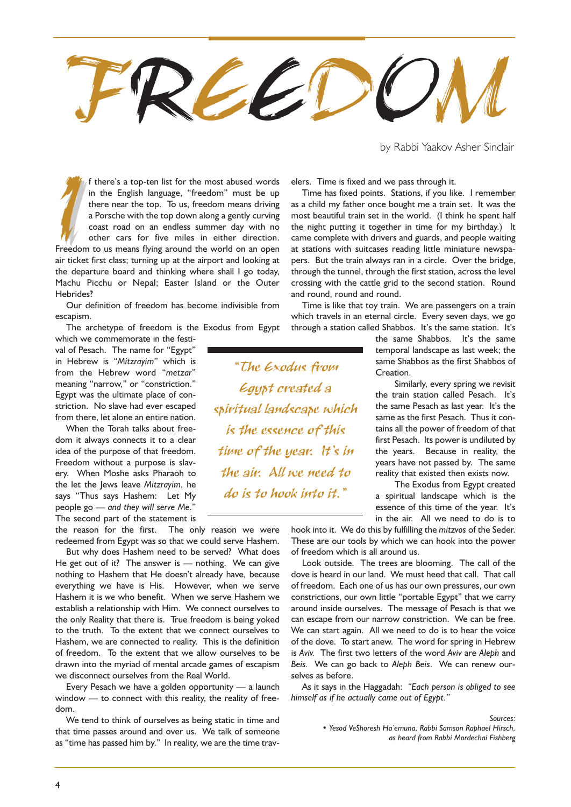

by Rabbi Yaakov Asher Sinclair

If there's a top-ten list for the most abused words<br>in the English language, "freedom" must be up<br>there near the top. To us, freedom means driving<br>a Porsche with the top down along a gently curving<br>coast road on an endless f there's a top-ten list for the most abused words in the English language, "freedom" must be up there near the top. To us, freedom means driving a Porsche with the top down along a gently curving coast road on an endless summer day with no other cars for five miles in either direction. air ticket first class; turning up at the airport and looking at the departure board and thinking where shall I go today, Machu Picchu or Nepal; Easter Island or the Outer Hebrides?

Our definition of freedom has become indivisible from escapism.

The archetype of freedom is the Exodus from Egypt which we commemorate in the festi-

val of Pesach. The name for "Egypt" in Hebrew is "Mitzrayim" which is from the Hebrew word "metzar" meaning "narrow," or "constriction." Egypt was the ultimate place of constriction. No slave had ever escaped from there, let alone an entire nation.

When the Torah talks about freedom it always connects it to a clear idea of the purpose of that freedom. Freedom without a purpose is slavery. When Moshe asks Pharaoh to the let the Jews leave Mitzrayim, he says "Thus says Hashem: Let My people go  $-$  and they will serve Me." The second part of the statement is

the reason for the first. The only reason we were redeemed from Egypt was so that we could serve Hashem.

But why does Hashem need to be served? What does He get out of it? The answer is  $-$  nothing. We can give nothing to Hashem that He doesn't already have, because everything we have is His. However, when we serve Hashem it is we who benefit. When we serve Hashem we establish a relationship with Him. We connect ourselves to the only Reality that there is. True freedom is being yoked to the truth. To the extent that we connect ourselves to Hashem, we are connected to reality. This is the definition of freedom. To the extent that we allow ourselves to be drawn into the myriad of mental arcade games of escapism we disconnect ourselves from the Real World.

Every Pesach we have a golden opportunity  $-$  a launch window  $-$  to connect with this reality, the reality of freedom.

We tend to think of ourselves as being static in time and that time passes around and over us. We talk of someone as "time has passed him by." In reality, we are the time travelers. Time is fixed and we pass through it.

Time has fixed points. Stations, if you like. I remember as a child my father once bought me a train set. It was the most beautiful train set in the world. (I think he spent half the night putting it together in time for my birthday.) It came complete with drivers and guards, and people waiting at stations with suitcases reading little miniature newspapers. But the train always ran in a circle. Over the bridge, through the tunnel, through the first station, across the level crossing with the cattle grid to the second station. Round and round, round and round.

Time is like that toy train. We are passengers on a train which travels in an eternal circle. Every seven days, we go through a station called Shabbos. It's the same station. It's

> the same Shabbos. It's the same temporal landscape as last week; the same Shabbos as the first Shabbos of **Creation**

> Similarly, every spring we revisit the train station called Pesach. It's the same Pesach as last year. It's the same as the first Pesach. Thus it contains all the power of freedom of that first Pesach. Its power is undiluted by the years. Because in reality, the years have not passed by. The same reality that existed then exists now.

> The Exodus from Egypt created a spiritual landscape which is the essence of this time of the year. It's in the air. All we need to do is to

hook into it. We do this by fulfilling the mitzvos of the Seder. These are our tools by which we can hook into the power of freedom which is all around us.

Look outside. The trees are blooming. The call of the dove is heard in our land. We must heed that call. That call of freedom. Each one of us has our own pressures, our own constrictions, our own little "portable Egypt" that we carry around inside ourselves. The message of Pesach is that we can escape from our narrow constriction. We can be free. We can start again. All we need to do is to hear the voice of the dove. To start anew. The word for spring in Hebrew is Aviv. The first two letters of the word Aviv are Aleph and Beis. We can go back to Aleph Beis. We can renew ourselves as before.

As it says in the Haggadah: "Each person is obliged to see himself as if he actually came out of Egypt.

> Sources: • Yesod VeShoresh Ha'emuna, Rabbi Samson Raphael Hirsch, as heard from Rabbi Mordechai Fishberg

The Exodus from Egypt created a spiritual landscape which is the essence of this time of the year. It's in the air. All we need to do is to hook into it."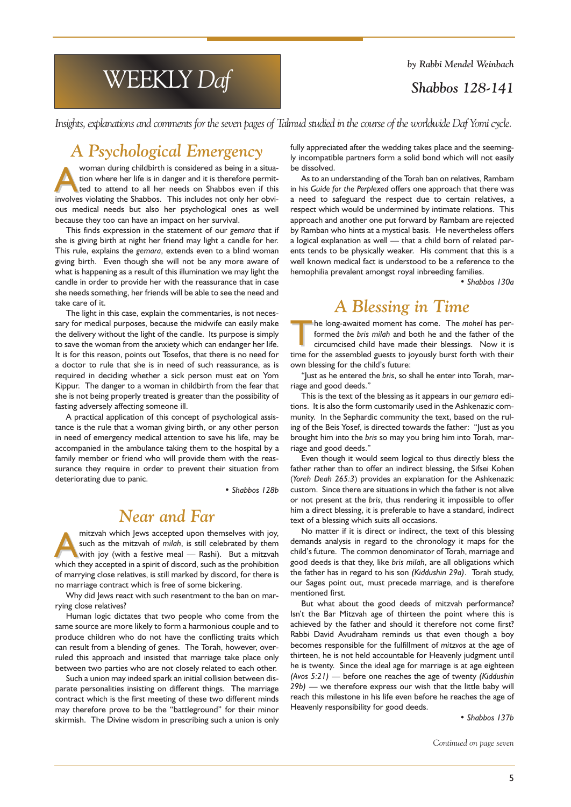by Rabbi Mendel Weinbach

# Shabbos 128-141

WEEKLY Daf

Insights, explanations and comments for the seven pages of Talmud studied in the course of the worldwide Daf Yomi cycle.

# A Psychological Emergency

woman during childbirth is considered as being in a situa-<br>tion where her life is in danger and it is therefore permit-<br>ted to attend to all her needs on Shabbos even if this<br>involves violating the Shabbos. This includes n tion where her life is in danger and it is therefore permitted to attend to all her needs on Shabbos even if this involves violating the Shabbos. This includes not only her obvious medical needs but also her psychological ones as well because they too can have an impact on her survival.

This finds expression in the statement of our gemara that if she is giving birth at night her friend may light a candle for her. This rule, explains the gemara, extends even to a blind woman giving birth. Even though she will not be any more aware of what is happening as a result of this illumination we may light the candle in order to provide her with the reassurance that in case she needs something, her friends will be able to see the need and take care of it.

The light in this case, explain the commentaries, is not necessary for medical purposes, because the midwife can easily make the delivery without the light of the candle. Its purpose is simply to save the woman from the anxiety which can endanger her life. It is for this reason, points out Tosefos, that there is no need for a doctor to rule that she is in need of such reassurance, as is required in deciding whether a sick person must eat on Yom Kippur. The danger to a woman in childbirth from the fear that she is not being properly treated is greater than the possibility of fasting adversely affecting someone ill.

A practical application of this concept of psychological assistance is the rule that a woman giving birth, or any other person in need of emergency medical attention to save his life, may be accompanied in the ambulance taking them to the hospital by a family member or friend who will provide them with the reassurance they require in order to prevent their situation from deteriorating due to panic.

Shabbos 128b

# Near and Far

mitzvah which Jews accepted upon themselves with joy,<br>such as the mitzvah of *milah*, is still celebrated by them<br>with joy (with a festive meal — Rashi). But a mitzvah<br>which they accepted in a spirit of discord such as the such as the mitzvah of milah, is still celebrated by them which they accepted in a spirit of discord, such as the prohibition of marrying close relatives, is still marked by discord, for there is no marriage contract which is free of some bickering.

Why did Jews react with such resentment to the ban on marrying close relatives?

Human logic dictates that two people who come from the same source are more likely to form a harmonious couple and to produce children who do not have the conflicting traits which can result from a blending of genes. The Torah, however, overruled this approach and insisted that marriage take place only between two parties who are not closely related to each other.

Such a union may indeed spark an initial collision between disparate personalities insisting on different things. The marriage contract which is the first meeting of these two different minds may therefore prove to be the "battleground" for their minor skirmish. The Divine wisdom in prescribing such a union is only fully appreciated after the wedding takes place and the seemingly incompatible partners form a solid bond which will not easily be dissolved.

As to an understanding of the Torah ban on relatives, Rambam in his Guide for the Perplexed offers one approach that there was a need to safeguard the respect due to certain relatives, a respect which would be undermined by intimate relations. This approach and another one put forward by Rambam are rejected by Ramban who hints at a mystical basis. He nevertheless offers a logical explanation as well - that a child born of related parents tends to be physically weaker. His comment that this is a well known medical fact is understood to be a reference to the hemophilia prevalent amongst royal inbreeding families.

Shabbos 130a

# A Blessing in Time

The long-awaited moment has come. The mohel has performed the bris milah and both he and the father of the circumcised child have made their blessings. Now it is time for the assembled guests to joyously burst forth with their own blessing for the child's future:

"Just as he entered the bris, so shall he enter into Torah, marriage and good deeds.

This is the text of the blessing as it appears in our gemara editions. It is also the form customarily used in the Ashkenazic community. In the Sephardic community the text, based on the ruling of the Beis Yosef, is directed towards the father: "Just as you brought him into the bris so may you bring him into Torah, marriage and good deeds.

Even though it would seem logical to thus directly bless the father rather than to offer an indirect blessing, the Sifsei Kohen (Yoreh Deah 265:3) provides an explanation for the Ashkenazic custom. Since there are situations in which the father is not alive or not present at the bris, thus rendering it impossible to offer him a direct blessing, it is preferable to have a standard, indirect text of a blessing which suits all occasions.

No matter if it is direct or indirect, the text of this blessing demands analysis in regard to the chronology it maps for the child's future. The common denominator of Torah, marriage and good deeds is that they, like bris milah, are all obligations which the father has in regard to his son (Kiddushin 29a). Torah study, our Sages point out, must precede marriage, and is therefore mentioned first.

But what about the good deeds of mitzvah performance? Isn't the Bar Mitzvah age of thirteen the point where this is achieved by the father and should it therefore not come first? Rabbi David Avudraham reminds us that even though a boy becomes responsible for the fulfillment of mitzvos at the age of thirteen, he is not held accountable for Heavenly judgment until he is twenty. Since the ideal age for marriage is at age eighteen (Avos  $5:21$ ) — before one reaches the age of twenty (Kiddushin  $29b$ ) — we therefore express our wish that the little baby will reach this milestone in his life even before he reaches the age of Heavenly responsibility for good deeds.

Shabbos 137b

Continued on page seven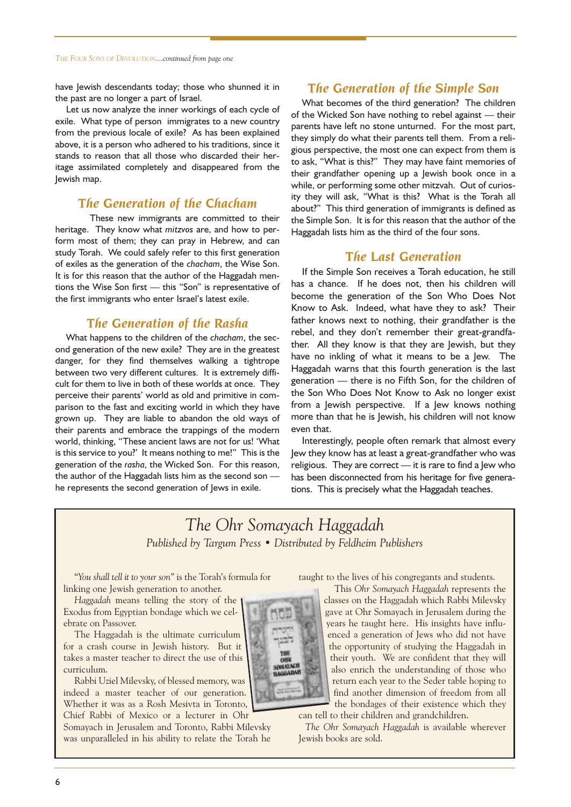have Jewish descendants today; those who shunned it in the past are no longer a part of Israel.

Let us now analyze the inner workings of each cycle of exile. What type of person immigrates to a new country from the previous locale of exile? As has been explained above, it is a person who adhered to his traditions, since it stands to reason that all those who discarded their heritage assimilated completely and disappeared from the Jewish map.

## The Generation of the Chacham

These new immigrants are committed to their heritage. They know what mitzvos are, and how to perform most of them; they can pray in Hebrew, and can study Torah. We could safely refer to this first generation of exiles as the generation of the chacham, the Wise Son. It is for this reason that the author of the Haggadah mentions the Wise Son first  $-$  this "Son" is representative of the first immigrants who enter Israel's latest exile.

# The Generation of the Rasha

What happens to the children of the chacham, the second generation of the new exile? They are in the greatest danger, for they find themselves walking a tightrope between two very different cultures. It is extremely difficult for them to live in both of these worlds at once. They perceive their parents' world as old and primitive in comparison to the fast and exciting world in which they have grown up. They are liable to abandon the old ways of their parents and embrace the trappings of the modern world, thinking, "These ancient laws are not for us! 'What is this service to you?' It means nothing to me!" This is the generation of the rasha, the Wicked Son. For this reason, the author of the Haggadah lists him as the second son he represents the second generation of Jews in exile.

## The Generation of the Simple Son

What becomes of the third generation? The children of the Wicked Son have nothing to rebel against  $-$  their parents have left no stone unturned. For the most part, they simply do what their parents tell them. From a religious perspective, the most one can expect from them is to ask, "What is this?" They may have faint memories of their grandfather opening up a Jewish book once in a while, or performing some other mitzvah. Out of curiosity they will ask, "What is this? What is the Torah all about?" This third generation of immigrants is defined as the Simple Son. It is for this reason that the author of the Haggadah lists him as the third of the four sons.

## The Last Generation

If the Simple Son receives a Torah education, he still has a chance. If he does not, then his children will become the generation of the Son Who Does Not Know to Ask. Indeed, what have they to ask? Their father knows next to nothing, their grandfather is the rebel, and they don't remember their great-grandfather. All they know is that they are Jewish, but they have no inkling of what it means to be a Jew. The Haggadah warns that this fourth generation is the last generation - there is no Fifth Son, for the children of the Son Who Does Not Know to Ask no longer exist from a Jewish perspective. If a Jew knows nothing more than that he is Jewish, his children will not know even that.

Interestingly, people often remark that almost every Jew they know has at least a great-grandfather who was religious. They are correct  $-$  it is rare to find a lew who has been disconnected from his heritage for five generations. This is precisely what the Haggadah teaches.

# The Ohr Somayach Haggadah Published by Targum Press • Distributed by Feldheim Publishers

"You shall tell it to your son" is the Torah's formula for linking one Jewish generation to another.

Haggadah means telling the story of the Exodus from Egyptian bondage which we celebrate on Passover.

The Haggadah is the ultimate curriculum for a crash course in Jewish history. But it takes a master teacher to direct the use of this curriculum.

Rabbi Uziel Milevsky, of blessed memory, was indeed a master teacher of our generation. Whether it was as a Rosh Mesivta in Toronto, Chief Rabbi of Mexico or a lecturer in Ohr

Somayach in Jerusalem and Toronto, Rabbi Milevsky was unparalleled in his ability to relate the Torah he

taught to the lives of his congregants and students.

This Ohr Somayach Haggadah represents the classes on the Haggadah which Rabbi Milevsky gave at Ohr Somayach in Jerusalem during the years he taught here. His insights have influenced a generation of Jews who did not have the opportunity of studying the Haggadah in their youth. We are confident that they will also enrich the understanding of those who return each year to the Seder table hoping to find another dimension of freedom from all the bondages of their existence which they can tell to their children and grandchildren.

The Ohr Somayach Haggadah is available wherever Jewish books are sold.

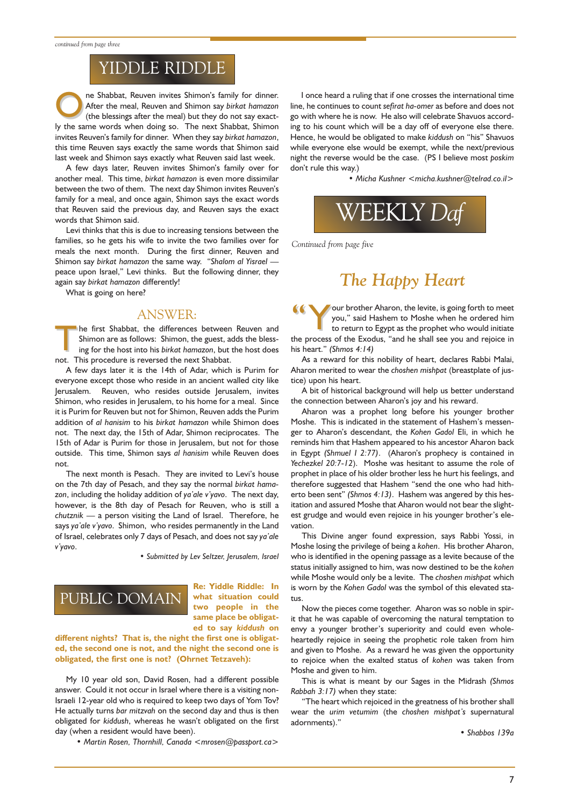# YIDDLE RIDDLE

The Shabbat, Reuven invites Shimon's family for dinner.<br>
After the meal, Reuven and Shimon say birkat hamazon<br>
(the blessings after the meal) but they do not say exact-<br>
the second particular of the next Shabbat, Shimon After the meal, Reuven and Shimon say birkat hamazon ly the same words when doing so. The next Shabbat, Shimon invites Reuven's family for dinner. When they say birkat hamazon, this time Reuven says exactly the same words that Shimon said last week and Shimon says exactly what Reuven said last week.

A few days later, Reuven invites Shimon's family over for another meal. This time, birkat hamazon is even more dissimilar between the two of them. The next day Shimon invites Reuven's family for a meal, and once again, Shimon says the exact words that Reuven said the previous day, and Reuven says the exact words that Shimon said.

Levi thinks that this is due to increasing tensions between the families, so he gets his wife to invite the two families over for meals the next month. During the first dinner, Reuven and Shimon say birkat hamazon the same way. "Shalom al Yisrael peace upon Israel," Levi thinks. But the following dinner, they again say birkat hamazon differently!

What is going on here?

## ANSWER:

The first Shabbat, the differences between Reuven and<br>Shimon are as follows: Shimon, the guest, adds the bless-<br>ing for the host into his birkat hamazon, but the host does Shimon are as follows: Shimon, the guest, adds the blessing for the host into his birkat hamazon, but the host does not. This procedure is reversed the next Shabbat.

A few days later it is the 14th of Adar, which is Purim for everyone except those who reside in an ancient walled city like Jerusalem. Reuven, who resides outside Jerusalem, invites Shimon, who resides in Jerusalem, to his home for a meal. Since it is Purim for Reuven but not for Shimon, Reuven adds the Purim addition of al hanisim to his birkat hamazon while Shimon does not. The next day, the 15th of Adar, Shimon reciprocates. The 15th of Adar is Purim for those in Jerusalem, but not for those outside. This time, Shimon says al hanisim while Reuven does not.

The next month is Pesach. They are invited to Levi's house on the 7th day of Pesach, and they say the normal birkat hamazon, including the holiday addition of ya'ale v'yavo. The next day, however, is the 8th day of Pesach for Reuven, who is still a  $chutznik$   $\longrightarrow$  a person visiting the Land of Israel. Therefore, he says ya'ale v'yavo. Shimon, who resides permanently in the Land of Israel, celebrates only 7 days of Pesach, and does not say ya'ale v'vavo.

Submitted by Lev Seltzer, Jerusalem, Israel

# PUBLIC DOMAIN

Re: Yiddle Riddle: In what situation could two people in the same place be obligated to say kiddush on

different nights? That is, the night the first one is obligated, the second one is not, and the night the second one is obligated, the first one is not? (Ohrnet Tetzaveh):

My 10 year old son, David Rosen, had a different possible answer. Could it not occur in Israel where there is a visiting non-Israeli 12-year old who is required to keep two days of Yom Tov? He actually turns bar mitzvah on the second day and thus is then obligated for kiddush, whereas he wasn't obligated on the first day (when a resident would have been).

• Martin Rosen, Thornhill, Canada <mrosen@passport.ca>

I once heard a ruling that if one crosses the international time line, he continues to count sefirat ha-omer as before and does not go with where he is now. He also will celebrate Shavuos according to his count which will be a day off of everyone else there. Hence, he would be obligated to make kiddush on "his" Shavuos while everyone else would be exempt, while the next/previous night the reverse would be the case. (PS I believe most poskim don't rule this way.)

• Micha Kushner <micha.kushner@telrad.co.il>



Continued from page five

# The Happy Heart

Your brother Aharon, the levite, is going forth to meet<br>
you," said Hashem to Moshe when he ordered him<br>
to return to Egypt as the prophet who would initiate<br>
the prophet who would initiate you," said Hashem to Moshe when he ordered him the process of the Exodus, "and he shall see you and rejoice in his heart." (Shmos  $4:14$ )

As a reward for this nobility of heart, declares Rabbi Malai, Aharon merited to wear the choshen mishpat (breastplate of justice) upon his heart.

A bit of historical background will help us better understand the connection between Aharon's joy and his reward.

Aharon was a prophet long before his younger brother Moshe. This is indicated in the statement of Hashem's messenger to Aharon's descendant, the Kohen Gadol Eli, in which he reminds him that Hashem appeared to his ancestor Aharon back in Egypt (Shmuel  $1$  2:77). (Aharon's prophecy is contained in Yechezkel 20:7-12). Moshe was hesitant to assume the role of prophet in place of his older brother less he hurt his feelings, and therefore suggested that Hashem "send the one who had hitherto been sent" (Shmos  $4:13$ ). Hashem was angered by this hesitation and assured Moshe that Aharon would not bear the slightest grudge and would even rejoice in his younger brother's elevation.

This Divine anger found expression, says Rabbi Yossi, in Moshe losing the privilege of being a kohen. His brother Aharon, who is identified in the opening passage as a levite because of the status initially assigned to him, was now destined to be the kohen while Moshe would only be a levite. The choshen mishpat which is worn by the Kohen Gadol was the symbol of this elevated status

Now the pieces come together. Aharon was so noble in spirit that he was capable of overcoming the natural temptation to envy a younger brother's superiority and could even wholeheartedly rejoice in seeing the prophetic role taken from him and given to Moshe. As a reward he was given the opportunity to rejoice when the exalted status of kohen was taken from Moshe and given to him.

This is what is meant by our Sages in the Midrash (Shmos Rabbah 3:17) when they state:

The heart which rejoiced in the greatness of his brother shall wear the urim vetumim (the choshen mishpat's supernatural adornments).

Shabbos 139a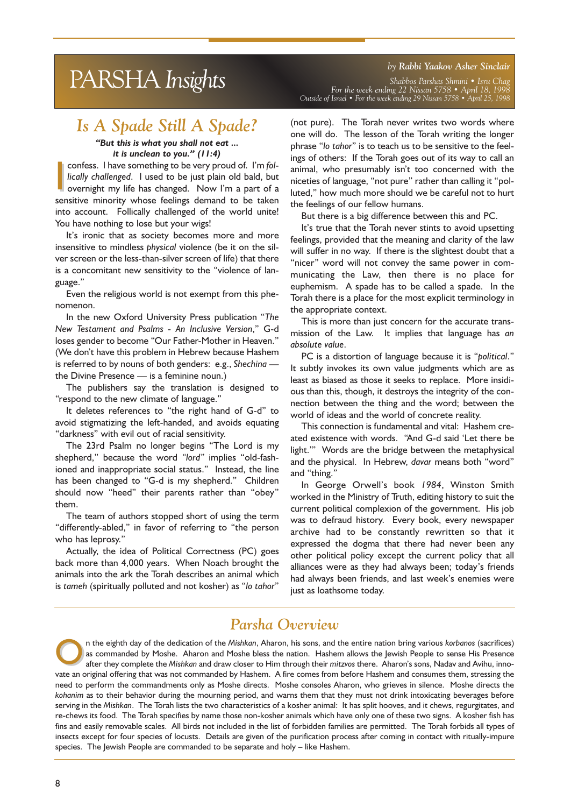# by Rabbi Yaakov Asher Sinclair<br>Bhabbos Parshas Shmini • Isru Chag<br>For the week ending 22 Nissan 5758 • April 18, 1998

# Is A Spade Still A Spade?

## But this is what you shall not eat ... it is unclean to you."  $(11:4)$

confess. I have something to be very proud of. I'm fol-<br>lically challenged. I used to be just plain old bald, but<br>overnight my life has changed. Now I'm a part of a<br>sensitive minority whose feelings demand to be taken confess. I have something to be very proud of. I'm follically challenged. I used to be just plain old bald, but overnight my life has changed. Now I'm a part of a into account. Follically challenged of the world unite! You have nothing to lose but your wigs!

It's ironic that as society becomes more and more insensitive to mindless physical violence (be it on the silver screen or the less-than-silver screen of life) that there is a concomitant new sensitivity to the "violence of language.

Even the religious world is not exempt from this phenomenon.

In the new Oxford University Press publication "The New Testament and Psalms - An Inclusive Version," G-d loses gender to become "Our Father-Mother in Heaven." (We don't have this problem in Hebrew because Hashem is referred to by nouns of both genders: e.g., Shechina the Divine Presence  $-$  is a feminine noun.)

The publishers say the translation is designed to "respond to the new climate of language."

It deletes references to "the right hand of G-d" to avoid stigmatizing the left-handed, and avoids equating "darkness" with evil out of racial sensitivity.

The 23rd Psalm no longer begins "The Lord is my shepherd," because the word "lord" implies "old-fashioned and inappropriate social status." Instead, the line has been changed to "G-d is my shepherd." Children should now "heed" their parents rather than "obey" them.

The team of authors stopped short of using the term "differently-abled," in favor of referring to "the person who has leprosy.

Actually, the idea of Political Correctness (PC) goes back more than 4,000 years. When Noach brought the animals into the ark the Torah describes an animal which is tameh (spiritually polluted and not kosher) as "lo tahor"

For the week ending 22 Nissan 5758 April 18, 1998 Outside of Israel For the week ending 29 Nissan 5758 April 25, 1998

(not pure). The Torah never writes two words where one will do. The lesson of the Torah writing the longer phrase "lo tahor" is to teach us to be sensitive to the feelings of others: If the Torah goes out of its way to call an animal, who presumably isn't too concerned with the niceties of language, "not pure" rather than calling it "polluted," how much more should we be careful not to hurt the feelings of our fellow humans.

But there is a big difference between this and PC.

It's true that the Torah never stints to avoid upsetting feelings, provided that the meaning and clarity of the law will suffer in no way. If there is the slightest doubt that a "nicer" word will not convey the same power in communicating the Law, then there is no place for euphemism. A spade has to be called a spade. In the Torah there is a place for the most explicit terminology in the appropriate context.

This is more than just concern for the accurate transmission of the Law. It implies that language has an absolute value.

PC is a distortion of language because it is "political." It subtly invokes its own value judgments which are as least as biased as those it seeks to replace. More insidious than this, though, it destroys the integrity of the connection between the thing and the word; between the world of ideas and the world of concrete reality.

This connection is fundamental and vital: Hashem created existence with words. "And G-d said 'Let there be light."" Words are the bridge between the metaphysical and the physical. In Hebrew, davar means both "word" and "thing."

In George Orwell's book 1984, Winston Smith worked in the Ministry of Truth, editing history to suit the current political complexion of the government. His job was to defraud history. Every book, every newspaper archive had to be constantly rewritten so that it expressed the dogma that there had never been any other political policy except the current policy that all alliances were as they had always been; today's friends had always been friends, and last week's enemies were just as loathsome today.

# Parsha Overview

n the eighth day of the dedication of the Mishkan, Aharon, his sons, and the entire nation bring various korbanos (sacrifices) as commanded by Moshe. Aharon and Moshe bless the nation. Hashem allows the Jewish People to se as commanded by Moshe. Aharon and Moshe bless the nation. Hashem allows the Jewish People to sense His Presence vate an original offering that was not commanded by Hashem. A fire comes from before Hashem and consumes them, stressing the need to perform the commandments only as Moshe directs. Moshe consoles Aharon, who grieves in silence. Moshe directs the kohanim as to their behavior during the mourning period, and warns them that they must not drink intoxicating beverages before serving in the Mishkan. The Torah lists the two characteristics of a kosher animal: It has split hooves, and it chews, regurgitates, and re-chews its food. The Torah specifies by name those non-kosher animals which have only one of these two signs. A kosher fish has fins and easily removable scales. All birds not included in the list of forbidden families are permitted. The Torah forbids all types of insects except for four species of locusts. Details are given of the purification process after coming in contact with ritually-impure species. The Jewish People are commanded to be separate and holy - like Hashem.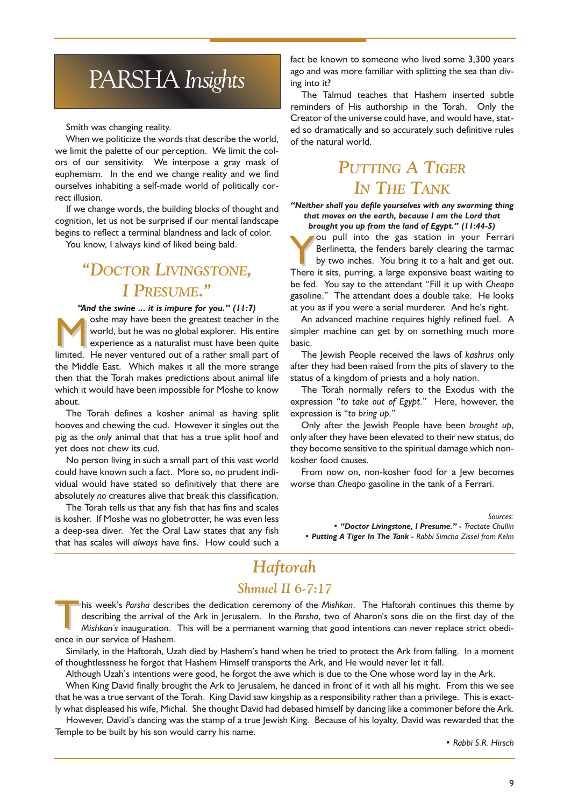# PARSHA Insights

Smith was changing reality.

When we politicize the words that describe the world, we limit the palette of our perception. We limit the colors of our sensitivity. We interpose a gray mask of euphemism. In the end we change reality and we find ourselves inhabiting a self-made world of politically correct illusion.

If we change words, the building blocks of thought and cognition, let us not be surprised if our mental landscape begins to reflect a terminal blandness and lack of color.

You know, I always kind of liked being bald.

# DOCTOR LIVINGSTONE, I PRESUME.

"And the swine ... it is impure for you."  $(11:7)$ 

She may have been the greatest teacher in the<br>world, but he was no global explorer. His entire<br>experience as a naturalist must have been quite<br>limited. He never ventured out of a rather small part of world, but he was no global explorer. His entire experience as a naturalist must have been quite limited. He never ventured out of a rather small part of the Middle East. Which makes it all the more strange then that the Torah makes predictions about animal life which it would have been impossible for Moshe to know about.

The Torah defines a kosher animal as having split hooves and chewing the cud. However it singles out the pig as the only animal that that has a true split hoof and yet does not chew its cud.

No person living in such a small part of this vast world could have known such a fact. More so, no prudent individual would have stated so definitively that there are absolutely no creatures alive that break this classification.

The Torah tells us that any fish that has fins and scales is kosher. If Moshe was no globetrotter, he was even less a deep-sea diver. Yet the Oral Law states that any fish that has scales will always have fins. How could such a fact be known to someone who lived some 3,300 years ago and was more familiar with splitting the sea than diving into it?

The Talmud teaches that Hashem inserted subtle reminders of His authorship in the Torah. Only the Creator of the universe could have, and would have, stated so dramatically and so accurately such definitive rules of the natural world.

# PUTTING A TIGER IN THE TANK

Neither shall you defile yourselves with any swarming thing that moves on the earth, because I am the Lord that brought you up from the land of Egypt." (11:44-5)

ou pull into the gas station in your Ferrari Berlinetta, the fenders barely clearing the tarmac by two inches. You bring it to a halt and get out. There it sits, purring, a large expensive beast waiting to be fed. You say to the attendant "Fill it up with Cheapo gasoline." The attendant does a double take. He looks at you as if you were a serial murderer. And he's right.

An advanced machine requires highly refined fuel. A simpler machine can get by on something much more basic.

The Jewish People received the laws of kashrus only after they had been raised from the pits of slavery to the status of a kingdom of priests and a holy nation.

The Torah normally refers to the Exodus with the expression "to take out of Egypt." Here, however, the expression is "to bring up."

Only after the Jewish People have been brought up, only after they have been elevated to their new status, do they become sensitive to the spiritual damage which nonkosher food causes.

From now on, non-kosher food for a Jew becomes worse than Cheapo gasoline in the tank of a Ferrari.

Sources:

• "Doctor Livingstone, I Presume." - Tractate Chullin • Putting A Tiger In The Tank - Rabbi Simcha Zissel from Kelm

# Haftorah

## Shmuel II 6-7:17

Inis week's Parsha describes the dedication ceremony of the Mishkan. The Haftorah continues this theme by describing the arrival of the Ark in Jerusalem. In the Parsha, two of Aharon's sons die on the first day of the Mishkan's inauguration. This will be a permanent warning that good intentions can never replace strict obedience in our service of Hashem.

Similarly, in the Haftorah, Uzah died by Hashem's hand when he tried to protect the Ark from falling. In a moment of thoughtlessness he forgot that Hashem Himself transports the Ark, and He would never let it fall.

Although Uzah's intentions were good, he forgot the awe which is due to the One whose word lay in the Ark.

When King David finally brought the Ark to Jerusalem, he danced in front of it with all his might. From this we see that he was a true servant of the Torah. King David saw kingship as a responsibility rather than a privilege. This is exactly what displeased his wife, Michal. She thought David had debased himself by dancing like a commoner before the Ark.

However, David's dancing was the stamp of a true Jewish King. Because of his loyalty, David was rewarded that the Temple to be built by his son would carry his name.

• Rabbi S.R. Hirsch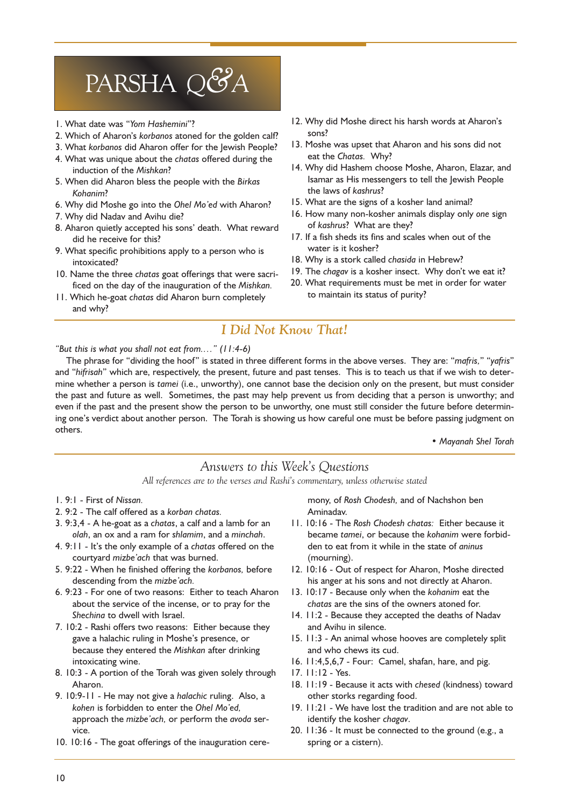# PARSHA Q&A

- 1. What date was "Yom Hashemini"?
- 2. Which of Aharon's korbanos atoned for the golden calf?
- 3. What korbanos did Aharon offer for the Jewish People?
- 4. What was unique about the chatas offered during the induction of the Mishkan?
- 5. When did Aharon bless the people with the Birkas Kohanim?
- 6. Why did Moshe go into the Ohel Mo'ed with Aharon?
- 7. Why did Nadav and Avihu die?
- 8. Aharon quietly accepted his sons' death. What reward did he receive for this?
- 9. What specific prohibitions apply to a person who is intoxicated?
- 10. Name the three chatas goat offerings that were sacrificed on the day of the inauguration of the Mishkan.
- 11. Which he-goat chatas did Aharon burn completely and why?
- 12. Why did Moshe direct his harsh words at Aharon's sons?
- 13. Moshe was upset that Aharon and his sons did not eat the Chatas. Why?
- 14. Why did Hashem choose Moshe, Aharon, Elazar, and Isamar as His messengers to tell the Jewish People the laws of kashrus?
- 15. What are the signs of a kosher land animal?
- 16. How many non-kosher animals display only one sign of kashrus? What are they?
- 17. If a fish sheds its fins and scales when out of the water is it kosher?
- 18. Why is a stork called chasida in Hebrew?
- 19. The chagav is a kosher insect. Why don't we eat it?
- 20. What requirements must be met in order for water to maintain its status of purity?

# I Did Not Know That!

"But this is what you shall not eat from...."  $(11:4-6)$ 

The phrase for "dividing the hoof" is stated in three different forms in the above verses. They are: "mafris," "yafris" and "hifrisah" which are, respectively, the present, future and past tenses. This is to teach us that if we wish to determine whether a person is tamei (i.e., unworthy), one cannot base the decision only on the present, but must consider the past and future as well. Sometimes, the past may help prevent us from deciding that a person is unworthy; and even if the past and the present show the person to be unworthy, one must still consider the future before determining one's verdict about another person. The Torah is showing us how careful one must be before passing judgment on others.

Mayanah Shel Torah

## Answers to this Week's Questions

All references are to the verses and Rashi's commentary, unless otherwise stated

- 1. 9:1 First of Nissan.
- 2. 9:2 The calf offered as a korban chatas.
- 3. 9:3,4 A he-goat as a chatas, a calf and a lamb for an olah, an ox and a ram for shlamim, and a minchah.
- 4.  $9:11$  It's the only example of a chatas offered on the courtyard mizbe'ach that was burned.
- 5. 9:22 When he finished offering the korbanos, before descending from the mizbe'ach.
- 6. 9:23 For one of two reasons: Either to teach Aharon about the service of the incense, or to pray for the Shechina to dwell with Israel.
- 7. 10:2 Rashi offers two reasons: Either because they gave a halachic ruling in Moshe's presence, or because they entered the Mishkan after drinking intoxicating wine.
- 8. 10:3 A portion of the Torah was given solely through Aharon.
- 9. 10:9-11 He may not give a halachic ruling. Also, a kohen is forbidden to enter the Ohel Mo'ed, approach the mizbe'ach, or perform the avoda service.
- 10. 10:16 The goat offerings of the inauguration cere-

mony, of Rosh Chodesh, and of Nachshon ben Aminadav.

- 11. 10:16 The Rosh Chodesh chatas: Either because it became tamei, or because the kohanim were forbidden to eat from it while in the state of aninus (mourning).
- 12. 10:16 Out of respect for Aharon, Moshe directed his anger at his sons and not directly at Aharon.
- 13. 10:17 Because only when the kohanim eat the chatas are the sins of the owners atoned for.
- 14. 11:2 Because they accepted the deaths of Nadav and Avihu in silence.
- 15. 11:3 An animal whose hooves are completely split and who chews its cud.
- 16. 11:4,5,6,7 Four: Camel, shafan, hare, and pig.
- 17. 11:12 Yes.
- 18. 11:19 Because it acts with chesed (kindness) toward other storks regarding food.
- 19. 11:21 We have lost the tradition and are not able to identify the kosher chagav.
- 20. 11:36 It must be connected to the ground (e.g., a spring or a cistern).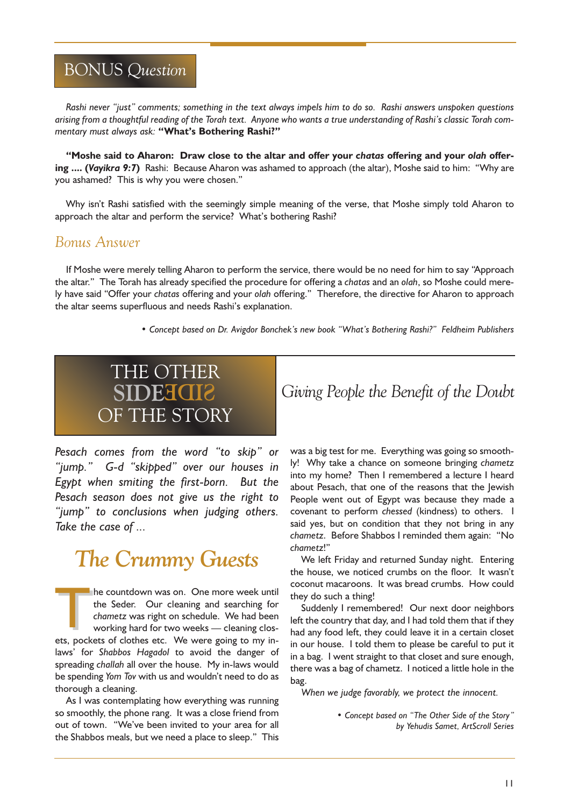# BONUS Question

Rashi never "just" comments; something in the text always impels him to do so. Rashi answers unspoken questions arising from a thoughtful reading of the Torah text. Anyone who wants a true understanding of Rashi's classic Torah commentary must always ask: "What's Bothering Rashi?"

"Moshe said to Aharon: Draw close to the altar and offer your chatas offering and your olah offering .... (Vayikra 9:7) Rashi: Because Aharon was ashamed to approach (the altar), Moshe said to him: "Why are you ashamed? This is why you were chosen.

Why isn't Rashi satisfied with the seemingly simple meaning of the verse, that Moshe simply told Aharon to approach the altar and perform the service? What's bothering Rashi?

# Bonus Answer

If Moshe were merely telling Aharon to perform the service, there would be no need for him to say "Approach the altar." The Torah has already specified the procedure for offering a chatas and an olah, so Moshe could merely have said "Offer your chatas offering and your olah offering." Therefore, the directive for Aharon to approach the altar seems superfluous and needs Rashi's explanation.

• Concept based on Dr. Avigdor Bonchek's new book "What's Bothering Rashi?" Feldheim Publishers

# THE OTHER OF THE STORY

Pesach comes from the word "to skip" or "jump." G-d "skipped" over our houses in Egypt when smiting the first-born. But the Pesach season does not give us the right to "jump" to conclusions when judging others. Take the case of ...

# The Crummy Guests

The countdown was on. One more week until<br>the Seder. Our cleaning and searching for<br>chametz was right on schedule. We had been<br>working hard for two weeks — cleaning clos-<br>ets. pockets of clothes etc. We were going to my in the Seder. Our cleaning and searching for chametz was right on schedule. We had been working hard for two weeks - cleaning closets, pockets of clothes etc. We were going to my inlaws' for Shabbos Hagadol to avoid the danger of spreading challah all over the house. My in-laws would be spending Yom Tov with us and wouldn't need to do as thorough a cleaning.

As I was contemplating how everything was running so smoothly, the phone rang. It was a close friend from out of town. "We've been invited to your area for all the Shabbos meals, but we need a place to sleep." This

**SIDE GIVE Giving People the Benefit of the Doubt** 

was a big test for me. Everything was going so smoothly! Why take a chance on someone bringing chametz into my home? Then I remembered a lecture I heard about Pesach, that one of the reasons that the Jewish People went out of Egypt was because they made a covenant to perform chessed (kindness) to others. I said yes, but on condition that they not bring in any chametz. Before Shabbos I reminded them again: "No chametz!

We left Friday and returned Sunday night. Entering the house, we noticed crumbs on the floor. It wasn't coconut macaroons. It was bread crumbs. How could they do such a thing!

Suddenly I remembered! Our next door neighbors left the country that day, and I had told them that if they had any food left, they could leave it in a certain closet in our house. I told them to please be careful to put it in a bag. I went straight to that closet and sure enough, there was a bag of chametz. I noticed a little hole in the bag.

When we judge favorably, we protect the innocent.

• Concept based on "The Other Side of the Story" by Yehudis Samet, ArtScroll Series